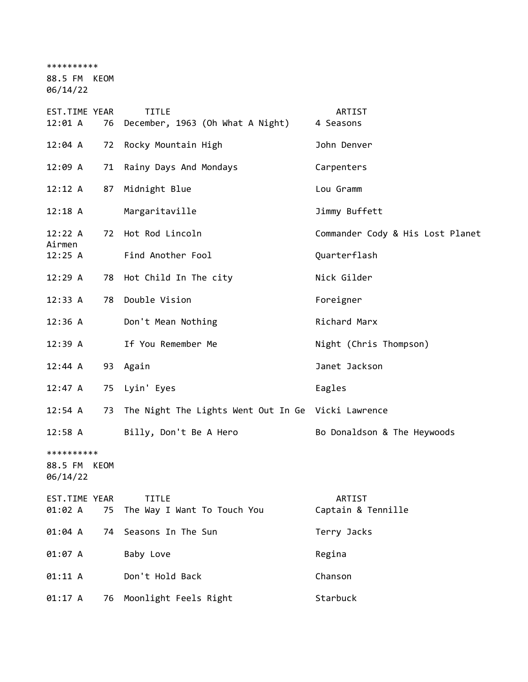\*\*\*\*\*\*\*\*\*\*

88.5 FM KEOM

06/14/22

| EST.TIME YEAR<br>12:01 A               | 76 | <b>TITLE</b><br>December, 1963 (Oh What A Night)   | ARTIST<br>4 Seasons              |
|----------------------------------------|----|----------------------------------------------------|----------------------------------|
| 12:04 A                                | 72 | Rocky Mountain High                                | John Denver                      |
| 12:09 A                                | 71 | Rainy Days And Mondays                             | Carpenters                       |
| 12:12 A                                | 87 | Midnight Blue                                      | Lou Gramm                        |
| $12:18$ A                              |    | Margaritaville                                     | Jimmy Buffett                    |
| 12:22 A                                |    | 72 Hot Rod Lincoln                                 | Commander Cody & His Lost Planet |
| Airmen<br>12:25 A                      |    | Find Another Fool                                  | Quarterflash                     |
| 12:29 A                                |    | 78 Hot Child In The city                           | Nick Gilder                      |
| 12:33 A                                | 78 | Double Vision                                      | Foreigner                        |
| 12:36 A                                |    | Don't Mean Nothing                                 | Richard Marx                     |
| $12:39$ A                              |    | If You Remember Me                                 | Night (Chris Thompson)           |
| 12:44 A                                |    | 93 Again                                           | Janet Jackson                    |
| 12:47 A                                |    | 75 Lyin' Eyes                                      | Eagles                           |
| 12:54 A                                | 73 | The Night The Lights Went Out In Ge Vicki Lawrence |                                  |
| $12:58$ A                              |    | Billy, Don't Be A Hero                             | Bo Donaldson & The Heywoods      |
| **********<br>88.5 FM KEOM<br>06/14/22 |    |                                                    |                                  |
| EST.TIME YEAR<br>01:02 A               | 75 | <b>TITLE</b><br>The Way I Want To Touch You        | ARTIST<br>Captain & Tennille     |
| 01:04 A                                | 74 | Seasons In The Sun                                 | Terry Jacks                      |
| 01:07 A                                |    | Baby Love                                          | Regina                           |
| 01:11 A                                |    | Don't Hold Back                                    | Chanson                          |
| 01:17 A                                | 76 | Moonlight Feels Right                              | Starbuck                         |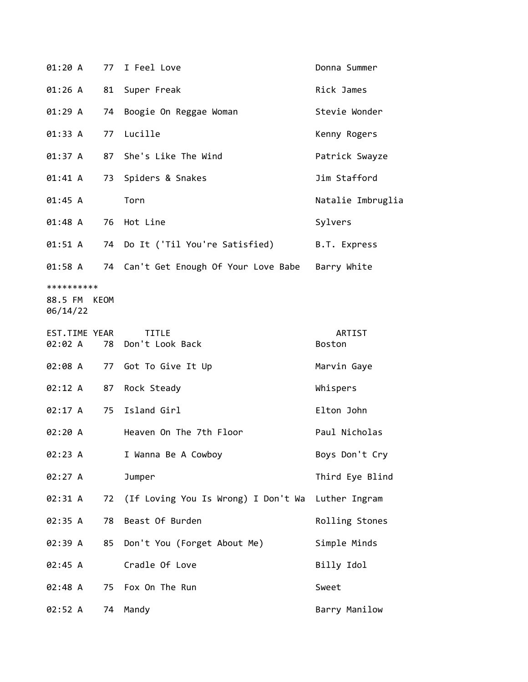| 01:20 A                                | 77 | I Feel Love                                       | Donna Summer            |
|----------------------------------------|----|---------------------------------------------------|-------------------------|
| 01:26 A                                |    | 81 Super Freak                                    | Rick James              |
| 01:29 A                                | 74 | Boogie On Reggae Woman                            | Stevie Wonder           |
| 01:33 A                                | 77 | Lucille                                           | Kenny Rogers            |
| 01:37 A                                |    | 87 She's Like The Wind                            | Patrick Swayze          |
| 01:41 A                                |    | 73 Spiders & Snakes                               | Jim Stafford            |
| 01:45 A                                |    | Torn                                              | Natalie Imbruglia       |
| 01:48 A                                |    | 76 Hot Line                                       | Sylvers                 |
| 01:51 A                                |    | 74 Do It ('Til You're Satisfied)                  | B.T. Express            |
| 01:58 A                                |    | 74 Can't Get Enough Of Your Love Babe Barry White |                         |
| **********<br>88.5 FM KEOM<br>06/14/22 |    |                                                   |                         |
| EST.TIME YEAR<br>02:02 A               | 78 | <b>TITLE</b><br>Don't Look Back                   | ARTIST<br><b>Boston</b> |
| 02:08 A                                |    | 77 Got To Give It Up                              | Marvin Gaye             |
| 02:12 A                                | 87 | Rock Steady                                       | Whispers                |
| 02:17 A                                | 75 | Island Girl                                       | Elton John              |
| 02:20 A                                |    | Heaven On The 7th Floor                           | Paul Nicholas           |
| 02:23 A                                |    | I Wanna Be A Cowboy                               | Boys Don't Cry          |
| 02:27 A                                |    | Jumper                                            | Third Eye Blind         |
| 02:31 A                                |    | 72 (If Loving You Is Wrong) I Don't Wa            | Luther Ingram           |
| 02:35 A                                | 78 | Beast Of Burden                                   | Rolling Stones          |
| 02:39 A                                | 85 | Don't You (Forget About Me)                       | Simple Minds            |
| 02:45 A                                |    | Cradle Of Love                                    | Billy Idol              |
| 02:48 A                                |    | 75 Fox On The Run                                 | Sweet                   |
| 02:52 A                                | 74 | Mandy                                             | Barry Manilow           |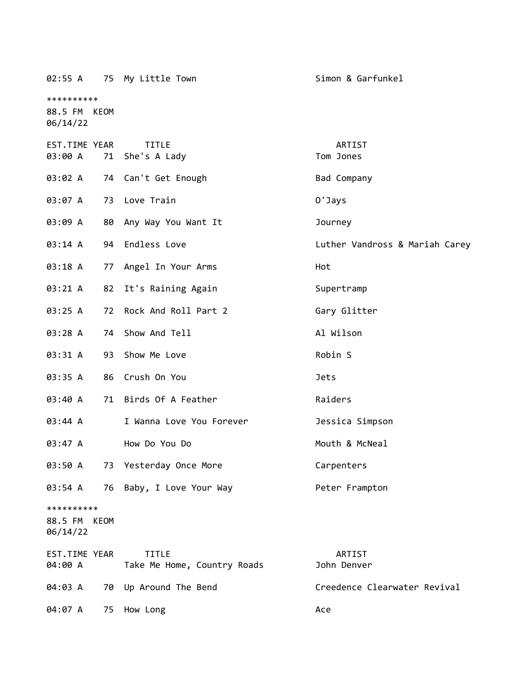| 02:55 A                                |    | 75 My Little Town                           | Simon & Garfunkel              |
|----------------------------------------|----|---------------------------------------------|--------------------------------|
| **********<br>88.5 FM KEOM<br>06/14/22 |    |                                             |                                |
| EST.TIME YEAR<br>03:00 A               | 71 | <b>TITLE</b><br>She's A Lady                | ARTIST<br>Tom Jones            |
| 03:02 A                                |    | 74 Can't Get Enough                         | Bad Company                    |
| 03:07 A                                | 73 | Love Train                                  | 0'Jays                         |
| 03:09 A                                | 80 | Any Way You Want It                         | Journey                        |
| 03:14 A                                | 94 | Endless Love                                | Luther Vandross & Mariah Carey |
| 03:18 A                                | 77 | Angel In Your Arms                          | Hot                            |
| $03:21 \; A$                           |    | 82 It's Raining Again                       | Supertramp                     |
| 03:25 A                                | 72 | Rock And Roll Part 2                        | Gary Glitter                   |
| 03:28 A                                | 74 | Show And Tell                               | Al Wilson                      |
| 03:31 A                                | 93 | Show Me Love                                | Robin S                        |
| 03:35 A                                | 86 | Crush On You                                | <b>Jets</b>                    |
| 03:40 A                                | 71 | Birds Of A Feather                          | Raiders                        |
| 03:44 A                                |    | I Wanna Love You Forever                    | Jessica Simpson                |
| 03:47 A                                |    | How Do You Do                               | Mouth & McNeal                 |
| 03:50 A                                |    | 73 Yesterday Once More                      | Carpenters                     |
| 03:54 A                                |    | 76 Baby, I Love Your Way                    | Peter Frampton                 |
| **********<br>88.5 FM KEOM<br>06/14/22 |    |                                             |                                |
| EST.TIME YEAR<br>04:00 A               |    | <b>TITLE</b><br>Take Me Home, Country Roads | ARTIST<br>John Denver          |
| 04:03 A                                | 70 | Up Around The Bend                          | Creedence Clearwater Revival   |
| 04:07 A                                | 75 | How Long                                    | Ace                            |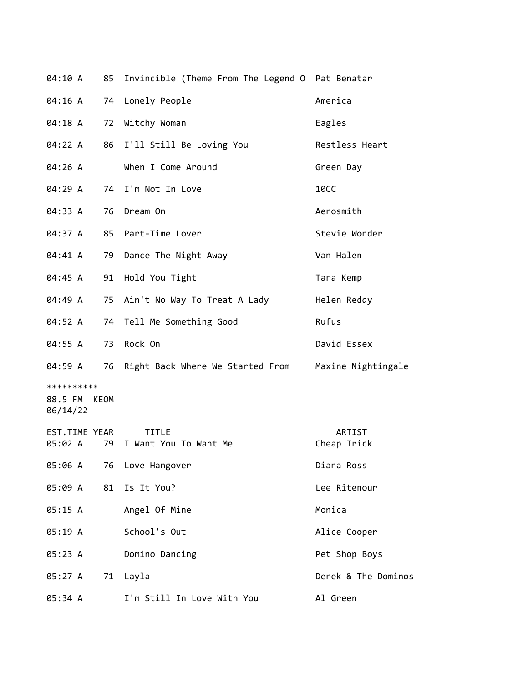| 04:10 A                  |    | 85 Invincible (Theme From The Legend O Pat Benatar |                       |
|--------------------------|----|----------------------------------------------------|-----------------------|
| 04:16 A                  |    | 74 Lonely People                                   | America               |
| 04:18 A                  | 72 | Witchy Woman                                       | Eagles                |
| 04:22 A                  |    | 86 I'll Still Be Loving You                        | Restless Heart        |
| 04:26 A                  |    | When I Come Around                                 | Green Day             |
| 04:29 A                  |    | 74 I'm Not In Love                                 | <b>10CC</b>           |
| 04:33 A                  |    | 76 Dream On                                        | Aerosmith             |
| 04:37 A                  |    | 85 Part-Time Lover                                 | Stevie Wonder         |
| 04:41 A                  | 79 | Dance The Night Away                               | Van Halen             |
| 04:45 A                  |    | 91 Hold You Tight                                  | Tara Kemp             |
| 04:49 A                  |    | 75 Ain't No Way To Treat A Lady                    | Helen Reddy           |
| 04:52 A                  |    | 74 Tell Me Something Good                          | Rufus                 |
| 04:55 A                  | 73 | Rock On                                            | David Essex           |
| 04:59 A                  |    | 76 Right Back Where We Started From                | Maxine Nightingale    |
| **********               |    |                                                    |                       |
| 88.5 FM KEOM<br>06/14/22 |    |                                                    |                       |
| EST.TIME YEAR<br>05:02 A | 79 | <b>TITLE</b><br>I Want You To Want Me              | ARTIST<br>Cheap Trick |
| 05:06 A                  | 76 | Love Hangover                                      | Diana Ross            |
| 05:09 A                  | 81 | Is It You?                                         | Lee Ritenour          |
| 05:15 A                  |    | Angel Of Mine                                      | Monica                |
| 05:19 A                  |    | School's Out                                       | Alice Cooper          |
| 05:23 A                  |    | Domino Dancing                                     | Pet Shop Boys         |
| 05:27 A                  | 71 | Layla                                              | Derek & The Dominos   |
| 05:34 A                  |    | I'm Still In Love With You                         | Al Green              |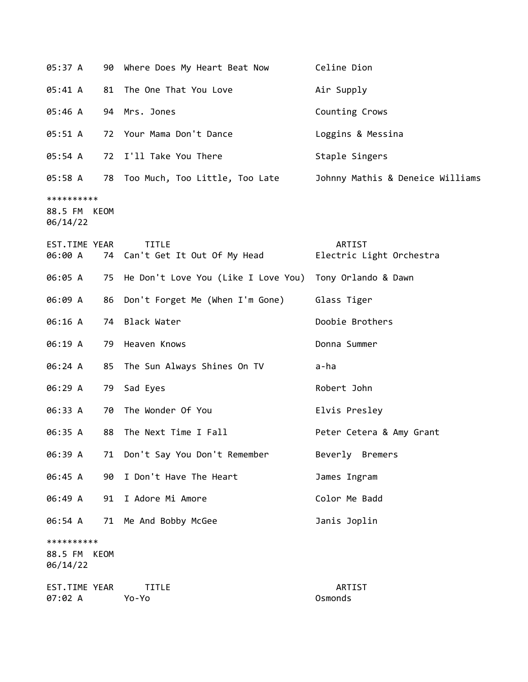| 05:37 A                                |    | 90 Where Does My Heart Beat Now                | Celine Dion                        |
|----------------------------------------|----|------------------------------------------------|------------------------------------|
| 05:41 A                                | 81 | The One That You Love                          | Air Supply                         |
| 05:46 A                                |    | 94 Mrs. Jones                                  | Counting Crows                     |
| 05:51 A                                |    | 72 Your Mama Don't Dance                       | Loggins & Messina                  |
| 05:54 A                                | 72 | I'll Take You There                            | Staple Singers                     |
| 05:58 A                                |    | 78 Too Much, Too Little, Too Late              | Johnny Mathis & Deneice Williams   |
| **********<br>88.5 FM KEOM<br>06/14/22 |    |                                                |                                    |
| EST.TIME YEAR<br>06:00 A               |    | <b>TITLE</b><br>74 Can't Get It Out Of My Head | ARTIST<br>Electric Light Orchestra |
| 06:05 A                                |    | 75 He Don't Love You (Like I Love You)         | Tony Orlando & Dawn                |
| 06:09 A                                |    | 86 Don't Forget Me (When I'm Gone)             | Glass Tiger                        |
| 06:16 A                                |    | 74 Black Water                                 | Doobie Brothers                    |
| 06:19 A                                | 79 | Heaven Knows                                   | Donna Summer                       |
| 06:24 A                                |    | 85 The Sun Always Shines On TV                 | a-ha                               |
| 06:29 A                                | 79 | Sad Eyes                                       | Robert John                        |
| 06:33 A                                | 70 | The Wonder Of You                              | Elvis Presley                      |
| 06:35 A                                | 88 | The Next Time I Fall                           | Peter Cetera & Amy Grant           |
| 06:39 A                                |    | 71 Don't Say You Don't Remember                | Beverly Bremers                    |
| 06:45 A                                | 90 | I Don't Have The Heart                         | James Ingram                       |
| 06:49 A                                | 91 | I Adore Mi Amore                               | Color Me Badd                      |
| 06:54 A                                |    | 71 Me And Bobby McGee                          | Janis Joplin                       |
| **********<br>88.5 FM KEOM<br>06/14/22 |    |                                                |                                    |
| EST.TIME YEAR<br>07:02 A               |    | <b>TITLE</b><br>Yo-Yo                          | ARTIST<br>Osmonds                  |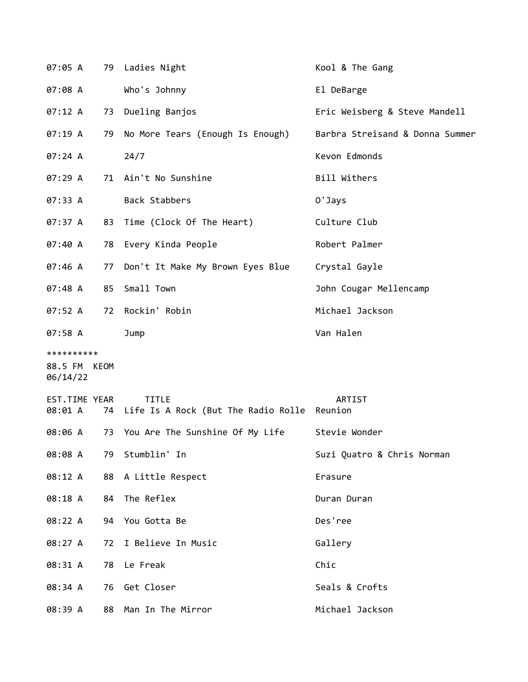| 07:05 A                                | 79 | Ladies Night                                                | Kool & The Gang                 |
|----------------------------------------|----|-------------------------------------------------------------|---------------------------------|
| 07:08 A                                |    | Who's Johnny                                                | El DeBarge                      |
| 07:12 A                                | 73 | Dueling Banjos                                              | Eric Weisberg & Steve Mandell   |
| 07:19A                                 | 79 | No More Tears (Enough Is Enough)                            | Barbra Streisand & Donna Summer |
| 07:24 A                                |    | 24/7                                                        | Kevon Edmonds                   |
| 07:29 A                                |    | 71 Ain't No Sunshine                                        | Bill Withers                    |
| 07:33 A                                |    | Back Stabbers                                               | O'Jays                          |
| 07:37 A                                | 83 | Time (Clock Of The Heart)                                   | Culture Club                    |
| 07:40 A                                | 78 | Every Kinda People                                          | Robert Palmer                   |
| 07:46 A                                | 77 | Don't It Make My Brown Eyes Blue                            | Crystal Gayle                   |
| 07:48 A                                | 85 | Small Town                                                  | John Cougar Mellencamp          |
| 07:52 A                                | 72 | Rockin' Robin                                               | Michael Jackson                 |
| 07:58 A                                |    | Jump                                                        | Van Halen                       |
| **********<br>88.5 FM KEOM<br>06/14/22 |    |                                                             |                                 |
| EST.TIME YEAR<br>08:01 A               | 74 | <b>TITLE</b><br>Life Is A Rock (But The Radio Rolle Reunion | ARTIST                          |
| 08:06 A                                |    | 73 You Are The Sunshine Of My Life                          | Stevie Wonder                   |
| 08:08 A                                | 79 | Stumblin' In                                                | Suzi Quatro & Chris Norman      |
| 08:12 A                                |    | 88 A Little Respect                                         | Erasure                         |
| 08:18 A                                | 84 | The Reflex                                                  | Duran Duran                     |
| 08:22 A                                |    | 94 You Gotta Be                                             | Des'ree                         |
| 08:27 A                                | 72 | I Believe In Music                                          | Gallery                         |
| 08:31 A                                | 78 | Le Freak                                                    | Chic                            |
| 08:34 A                                | 76 | Get Closer                                                  | Seals & Crofts                  |
| 08:39 A                                | 88 | Man In The Mirror                                           | Michael Jackson                 |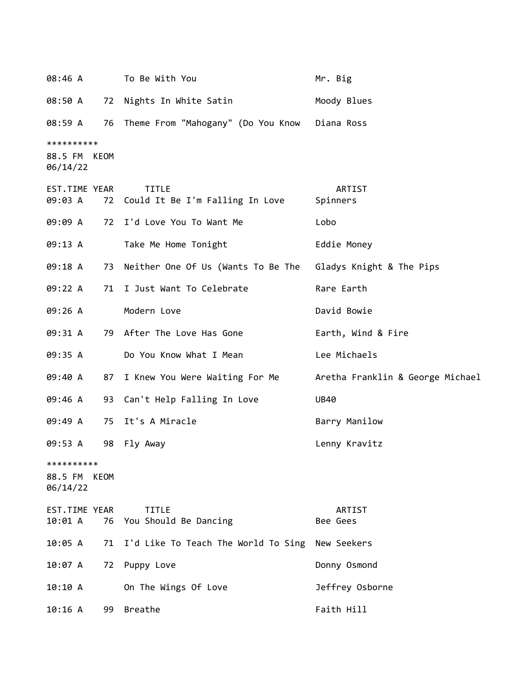08:46 A To Be With You **Mr. Big** 08:50 A 72 Nights In White Satin Moody Blues 08:59 A 76 Theme From "Mahogany" (Do You Know Diana Ross \*\*\*\*\*\*\*\*\*\* 88.5 FM KEOM 06/14/22 EST.TIME YEAR TITLE ARTIST 09:03 A 72 Could It Be I'm Falling In Love Spinners 09:09 A 72 I'd Love You To Want Me Lobo 09:13 A Take Me Home Tonight Eddie Money 09:18 A 73 Neither One Of Us (Wants To Be The Gladys Knight & The Pips 09:22 A 71 I Just Want To Celebrate The Rare Earth 09:26 A Modern Love David Bowie 09:31 A 79 After The Love Has Gone Earth, Wind & Fire 09:35 A Do You Know What I Mean Lee Michaels 09:40 A 87 I Knew You Were Waiting For Me Aretha Franklin & George Michael 09:46 A 93 Can't Help Falling In Love UB40 09:49 A 75 It's A Miracle Barry Manilow 09:53 A 98 Fly Away Lenny Kravitz \*\*\*\*\*\*\*\*\*\* 88.5 FM KEOM 06/14/22 EST.TIME YEAR TITLE ARTIST 10:01 A 76 You Should Be Dancing Bee Gees 10:05 A 71 I'd Like To Teach The World To Sing New Seekers 10:07 A 72 Puppy Love Donny Osmond 10:10 A On The Wings Of Love Jeffrey Osborne 10:16 A 99 Breathe Faith Hill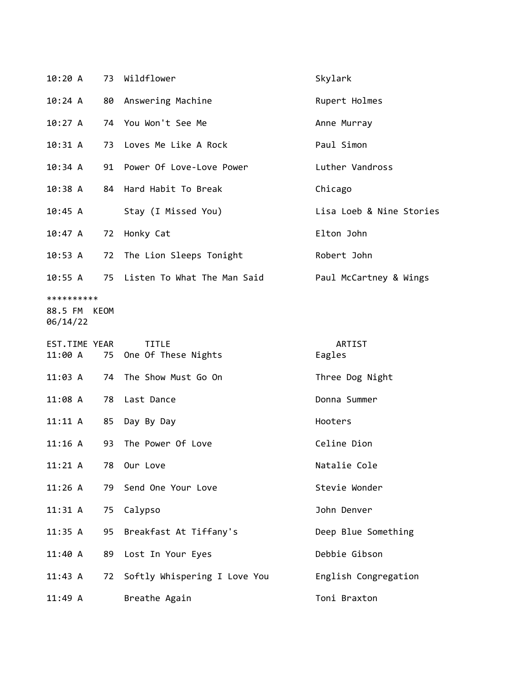| 10:20 A                           | 73   | Wildflower                          | Skylark                  |
|-----------------------------------|------|-------------------------------------|--------------------------|
| 10:24 A                           | 80   | Answering Machine                   | Rupert Holmes            |
| 10:27 A                           | 74   | You Won't See Me                    | Anne Murray              |
| 10:31 A                           | 73   | Loves Me Like A Rock                | Paul Simon               |
| 10:34 A                           | 91   | Power Of Love-Love Power            | Luther Vandross          |
| 10:38A                            | 84   | Hard Habit To Break                 | Chicago                  |
| 10:45 A                           |      | Stay (I Missed You)                 | Lisa Loeb & Nine Stories |
| 10:47 A                           | 72   | Honky Cat                           | Elton John               |
| 10:53 A                           | 72   | The Lion Sleeps Tonight             | Robert John              |
| 10:55 A                           | 75   | Listen To What The Man Said         | Paul McCartney & Wings   |
| **********<br>88.5 FM<br>06/14/22 | KEOM |                                     |                          |
| EST.TIME YEAR<br>11:00 A          | 75   | <b>TITLE</b><br>One Of These Nights | ARTIST<br>Eagles         |
| 11:03 A                           | 74   | The Show Must Go On                 | Three Dog Night          |
| 11:08A                            | 78   | Last Dance                          | Donna Summer             |
| 11:11 A                           | 85   | Day By Day                          | Hooters                  |
| 11:16A                            | 93   | The Power Of Love                   | Celine Dion              |
| 11:21 A                           | 78   | Our Love                            | Natalie Cole             |
| 11:26A                            | 79   | Send One Your Love                  | Stevie Wonder            |
| 11:31 A                           | 75   | Calypso                             | John Denver              |
| 11:35 A                           | 95   | Breakfast At Tiffany's              | Deep Blue Something      |
| 11:40 A                           | 89   | Lost In Your Eyes                   | Debbie Gibson            |
| 11:43 A                           | 72   | Softly Whispering I Love You        | English Congregation     |
| 11:49A                            |      | Breathe Again                       | Toni Braxton             |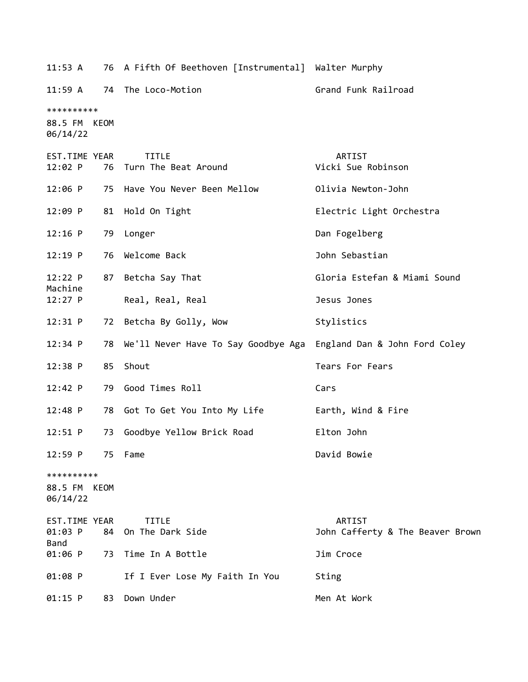|                                        |    | 11:53 A 76 A Fifth Of Beethoven [Instrumental] Walter Murphy         |                                            |
|----------------------------------------|----|----------------------------------------------------------------------|--------------------------------------------|
|                                        |    | 11:59 A 74 The Loco-Motion                                           | Grand Funk Railroad                        |
| **********<br>88.5 FM KEOM<br>06/14/22 |    |                                                                      |                                            |
| EST.TIME YEAR<br>12:02 P               |    | <b>TITLE</b><br>76 Turn The Beat Around                              | ARTIST<br>Vicki Sue Robinson               |
| $12:06$ P                              |    | 75 Have You Never Been Mellow                                        | Olivia Newton-John                         |
| 12:09 P                                |    | 81 Hold On Tight                                                     | Electric Light Orchestra                   |
| $12:16$ P                              | 79 | Longer                                                               | Dan Fogelberg                              |
| $12:19$ P                              | 76 | Welcome Back                                                         | John Sebastian                             |
| 12:22 P<br>Machine                     | 87 | Betcha Say That                                                      | Gloria Estefan & Miami Sound               |
| $12:27$ P                              |    | Real, Real, Real                                                     | Jesus Jones                                |
| 12:31 P                                |    | 72 Betcha By Golly, Wow                                              | Stylistics                                 |
| 12:34 P                                | 78 | We'll Never Have To Say Goodbye Aga    England Dan & John Ford Coley |                                            |
| $12:38$ P                              | 85 | Shout                                                                | Tears For Fears                            |
| 12:42 P                                | 79 | Good Times Roll                                                      | Cars                                       |
| $12:48$ P                              |    | 78 Got To Get You Into My Life                                       | Earth, Wind & Fire                         |
| $12:51$ P                              | 73 | Goodbye Yellow Brick Road                                            | Elton John                                 |
| $12:59$ P                              | 75 | Fame                                                                 | David Bowie                                |
| **********<br>88.5 FM KEOM<br>06/14/22 |    |                                                                      |                                            |
| EST.TIME YEAR<br>$01:03$ P<br>Band     | 84 | <b>TITLE</b><br>On The Dark Side                                     | ARTIST<br>John Cafferty & The Beaver Brown |
| 01:06 P                                | 73 | Time In A Bottle                                                     | Jim Croce                                  |
| 01:08 P                                |    | If I Ever Lose My Faith In You                                       | Sting                                      |
| 01:15 P                                | 83 | Down Under                                                           | Men At Work                                |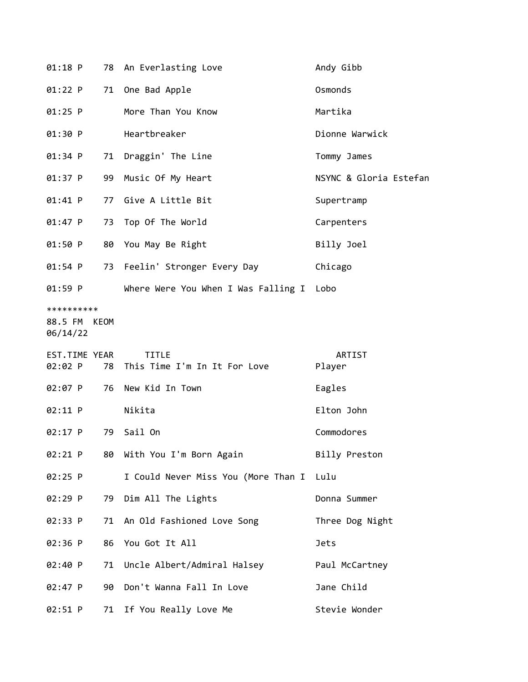| $01:18$ P                         | 78   | An Everlasting Love                          | Andy Gibb              |
|-----------------------------------|------|----------------------------------------------|------------------------|
| $01:22$ P                         | 71   | One Bad Apple                                | Osmonds                |
| $01:25$ P                         |      | More Than You Know                           | Martika                |
| 01:30 P                           |      | Heartbreaker                                 | Dionne Warwick         |
| 01:34 P                           | 71   | Draggin' The Line                            | Tommy James            |
| 01:37 P                           | 99   | Music Of My Heart                            | NSYNC & Gloria Estefan |
| 01:41 P                           |      | 77 Give A Little Bit                         | Supertramp             |
| 01:47 P                           | 73   | Top Of The World                             | Carpenters             |
| 01:50 P                           | 80   | You May Be Right                             | Billy Joel             |
| $01:54$ P                         | 73   | Feelin' Stronger Every Day                   | Chicago                |
| $01:59$ P                         |      | Where Were You When I Was Falling I          | Lobo                   |
| **********<br>88.5 FM<br>06/14/22 | KEOM |                                              |                        |
|                                   |      |                                              |                        |
| EST.TIME YEAR<br>02:02 P          | 78   | <b>TITLE</b><br>This Time I'm In It For Love | ARTIST<br>Player       |
| 02:07 P                           | 76   | New Kid In Town                              | Eagles                 |
| 02:11 P                           |      | Nikita                                       | Elton John             |
| 02:17 P                           | 79   | Sail On                                      | Commodores             |
| 02:21 P                           | 80   | With You I'm Born Again                      | Billy Preston          |
| 02:25 P                           |      | I Could Never Miss You (More Than I          | Lulu                   |
| 02:29 P                           | 79   | Dim All The Lights                           | Donna Summer           |
| 02:33 P                           | 71   | An Old Fashioned Love Song                   | Three Dog Night        |
| 02:36 P                           | 86   | You Got It All                               | <b>Jets</b>            |
| 02:40 P                           | 71   | Uncle Albert/Admiral Halsey                  | Paul McCartney         |
| 02:47 P                           | 90   | Don't Wanna Fall In Love                     | Jane Child             |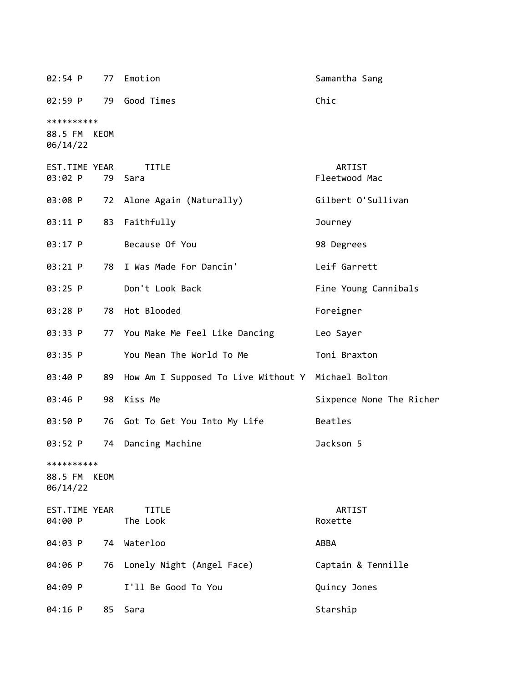02:54 P 77 Emotion Samantha Sang 02:59 P 79 Good Times Chic \*\*\*\*\*\*\*\*\*\* 88.5 FM KEOM 06/14/22 EST.TIME YEAR TITLE ARTIST 03:02 P 79 Sara Fleetwood Mac 03:08 P 72 Alone Again (Naturally) Gilbert O'Sullivan 03:11 P 83 Faithfully 300 Journey 03:17 P Because Of You **98 Degrees** 03:21 P 78 I Was Made For Dancin' Leif Garrett 03:25 P Don't Look Back **Fine Young Cannibals** 03:28 P 78 Hot Blooded Foreigner 03:33 P 77 You Make Me Feel Like Dancing Leo Sayer 03:35 P You Mean The World To Me Toni Braxton 03:40 P 89 How Am I Supposed To Live Without Y Michael Bolton 03:46 P 98 Kiss Me Sixpence None The Richer 03:50 P 76 Got To Get You Into My Life Beatles 03:52 P 74 Dancing Machine 1988 100 Dackson 5 \*\*\*\*\*\*\*\*\*\* 88.5 FM KEOM 06/14/22 EST.TIME YEAR TITLE ARTIST 04:00 P The Look Roxette 04:03 P 74 Waterloo ABBA 04:06 P 76 Lonely Night (Angel Face) Captain & Tennille 04:09 P I'll Be Good To You Quincy Jones 04:16 P 85 Sara Starship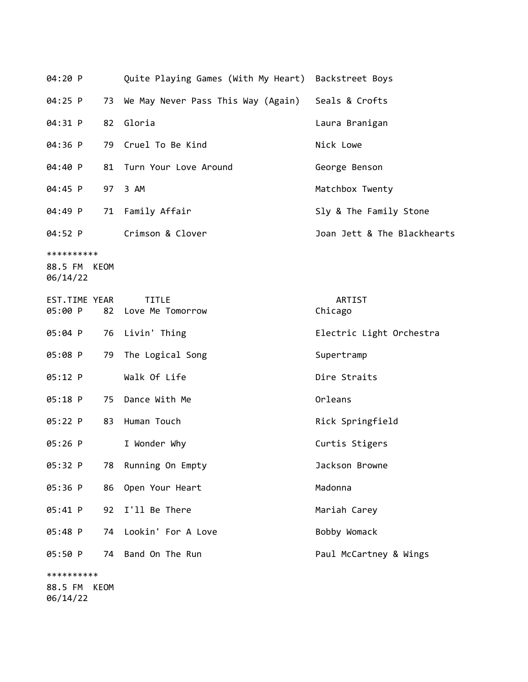| 04:20 P   | Quite Playing Games (With My Heart)   | Backstreet Boys             |
|-----------|---------------------------------------|-----------------------------|
| 04:25 P   | 73 We May Never Pass This Way (Again) | Seals & Crofts              |
| $04:31$ P | 82 Gloria                             | Laura Branigan              |
| $04:36$ P | 79 Cruel To Be Kind                   | Nick Lowe                   |
| 04:40 P   | 81 Turn Your Love Around              | George Benson               |
| $04:45$ P | 97 3 AM                               | Matchbox Twenty             |
| $04:49$ P | 71 Family Affair                      | Sly & The Family Stone      |
| $04:52$ P | Crimson & Clover                      | Joan Jett & The Blackhearts |

\*\*\*\*\*\*\*\*\*\*

88.5 FM KEOM 06/14/22

| EST.TIME YEAR<br>05:00 P | TITLE<br>82 Love Me Tomorrow | ARTIST<br>Chicago        |  |  |
|--------------------------|------------------------------|--------------------------|--|--|
| 05:04 P                  | 76 Livin' Thing              | Electric Light Orchestra |  |  |
| 05:08 P                  | 79 The Logical Song          | Supertramp               |  |  |
| 05:12 P                  | Walk Of Life                 | Dire Straits             |  |  |
| 05:18 P                  | Dance With Me<br>75          | Orleans                  |  |  |
| 05:22 P                  | Human Touch<br>83            | Rick Springfield         |  |  |
| 05:26 P                  | I Wonder Why                 | Curtis Stigers           |  |  |
| 05:32 P<br>78            | Running On Empty             | Jackson Browne           |  |  |
| 05:36 P                  | 86 Open Your Heart           | Madonna                  |  |  |
| 05:41 P                  | I'll Be There<br>92          | Mariah Carey             |  |  |
| 05:48 P                  | 74 Lookin' For A Love        | Bobby Womack             |  |  |
| 05:50 P                  | 74 Band On The Run           | Paul McCartney & Wings   |  |  |
| **********               |                              |                          |  |  |
| KEOM<br>88.5 FM          |                              |                          |  |  |

06/14/22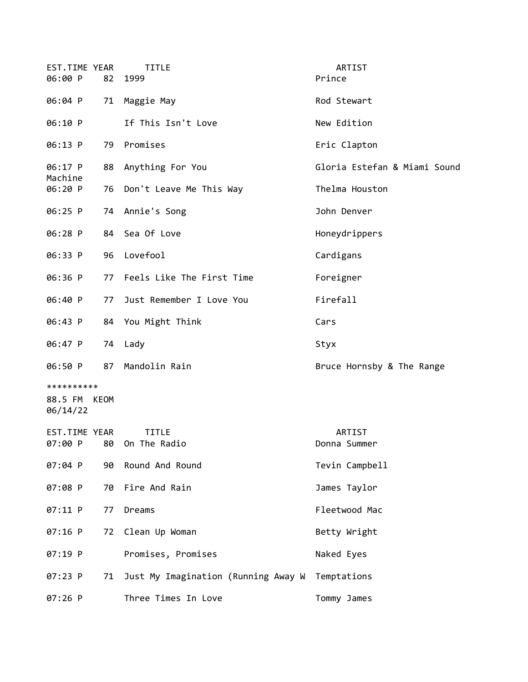| EST.TIME YEAR<br>06:00 P               |    | <b>TITLE</b><br>82 1999             | ARTIST<br>Prince             |
|----------------------------------------|----|-------------------------------------|------------------------------|
| 06:04 P                                | 71 | Maggie May                          | Rod Stewart                  |
| 06:10 P                                |    | If This Isn't Love                  | New Edition                  |
| 06:13 P                                | 79 | Promises                            | Eric Clapton                 |
| 06:17 P                                |    | 88 Anything For You                 | Gloria Estefan & Miami Sound |
| Machine<br>06:20 P                     |    | 76 Don't Leave Me This Way          | Thelma Houston               |
| 06:25 P                                |    | 74 Annie's Song                     | John Denver                  |
| 06:28 P                                |    | 84 Sea Of Love                      | Honeydrippers                |
| 06:33 P                                | 96 | Lovefool                            | Cardigans                    |
| 06:36 P                                |    | 77 Feels Like The First Time        | Foreigner                    |
| 06:40 P                                | 77 | Just Remember I Love You            | Firefall                     |
| 06:43 P                                |    | 84 You Might Think                  | Cars                         |
| 06:47 P                                |    | 74 Lady                             | Styx                         |
| 06:50 P                                |    | 87 Mandolin Rain                    | Bruce Hornsby & The Range    |
| **********<br>88.5 FM KEOM<br>06/14/22 |    |                                     |                              |
| EST.TIME YEAR<br>07:00 P               | 80 | <b>TITLE</b><br>On The Radio        | ARTIST<br>Donna Summer       |
| $07:04$ P                              |    | 90 Round And Round                  | Tevin Campbell               |
| 07:08 P                                |    | 70 Fire And Rain                    | James Taylor                 |
| 07:11 P                                | 77 | Dreams                              | Fleetwood Mac                |
| 07:16 P                                | 72 | Clean Up Woman                      | Betty Wright                 |
| 07:19 P                                |    | Promises, Promises                  | Naked Eyes                   |
| 07:23 P                                | 71 | Just My Imagination (Running Away W | Temptations                  |
| 07:26 P                                |    | Three Times In Love                 | Tommy James                  |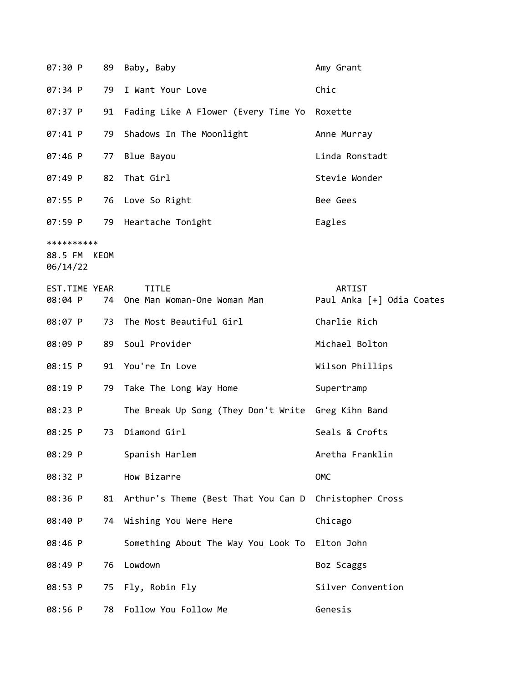| 07:30 P                                | 89 | Baby, Baby                                         | Amy Grant                           |  |
|----------------------------------------|----|----------------------------------------------------|-------------------------------------|--|
| 07:34 P                                | 79 | I Want Your Love                                   | Chic                                |  |
| 07:37 P                                | 91 | Fading Like A Flower (Every Time Yo                | Roxette                             |  |
| 07:41 P                                | 79 | Shadows In The Moonlight                           | Anne Murray                         |  |
| 07:46 P                                | 77 | Blue Bayou                                         | Linda Ronstadt                      |  |
| 07:49 P                                | 82 | That Girl                                          | Stevie Wonder                       |  |
| 07:55 P                                | 76 | Love So Right                                      | Bee Gees                            |  |
| 07:59 P                                | 79 | Heartache Tonight                                  | Eagles                              |  |
| **********<br>88.5 FM KEOM<br>06/14/22 |    |                                                    |                                     |  |
| <b>EST.TIME YEAR</b><br>08:04 P        | 74 | <b>TITLE</b><br>One Man Woman-One Woman Man        | ARTIST<br>Paul Anka [+] Odia Coates |  |
| 08:07 P                                | 73 | The Most Beautiful Girl                            | Charlie Rich                        |  |
| 08:09 P                                | 89 | Soul Provider                                      | Michael Bolton                      |  |
| 08:15 P                                | 91 | You're In Love                                     | Wilson Phillips                     |  |
| 08:19 P                                | 79 | Take The Long Way Home                             | Supertramp                          |  |
| 08:23 P                                |    | The Break Up Song (They Don't Write Greg Kihn Band |                                     |  |
| 08:25 P                                | 73 | Diamond Girl                                       | Seals & Crofts                      |  |
| 08:29 P                                |    | Spanish Harlem                                     | Aretha Franklin                     |  |
| 08:32 P                                |    | How Bizarre                                        | OMC                                 |  |
| 08:36 P                                | 81 | Arthur's Theme (Best That You Can D                | Christopher Cross                   |  |
| 08:40 P                                | 74 | Wishing You Were Here                              | Chicago                             |  |
| 08:46 P                                |    | Something About The Way You Look To                | Elton John                          |  |
| 08:49 P                                | 76 | Lowdown                                            | Boz Scaggs                          |  |
| 08:53 P                                | 75 | Fly, Robin Fly                                     | Silver Convention                   |  |
| 08:56 P                                | 78 | Follow You Follow Me                               | Genesis                             |  |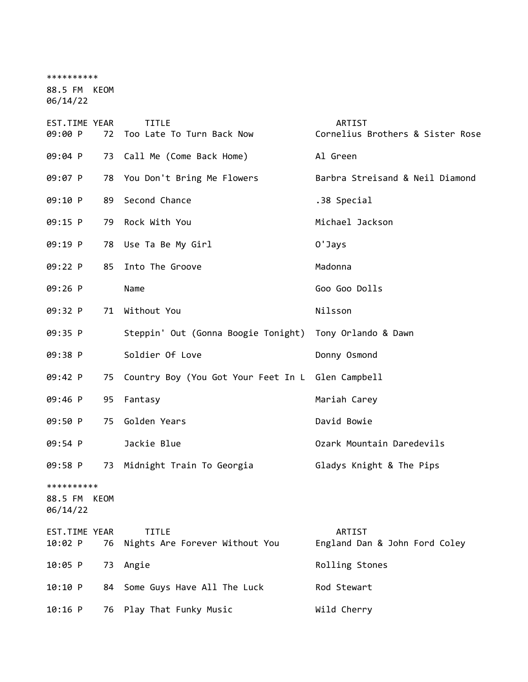\*\*\*\*\*\*\*\*\*\* 88.5 FM KEOM 06/14/22 EST.TIME YEAR TITLE ARTIST 09:00 P 72 Too Late To Turn Back Now Cornelius Brothers & Sister Rose 09:04 P 73 Call Me (Come Back Home) Al Green 09:07 P 78 You Don't Bring Me Flowers Barbra Streisand & Neil Diamond 09:10 P 89 Second Chance .38 Special 09:15 P 79 Rock With You Michael Jackson 09:19 P 78 Use Ta Be My Girl **Canada Access** 0'Jays 09:22 P 85 Into The Groove Madonna 09:26 P Name Goo Goo Dolls 09:32 P 71 Without You Nilsson 09:35 P Steppin' Out (Gonna Boogie Tonight) Tony Orlando & Dawn 09:38 P Soldier Of Love Donny Osmond 09:42 P 75 Country Boy (You Got Your Feet In L Glen Campbell 09:46 P 95 Fantasy **Mariah Carey** 09:50 P 75 Golden Years David Bowie 09:54 P Jackie Blue Ozark Mountain Daredevils 09:58 P 73 Midnight Train To Georgia Gladys Knight & The Pips \*\*\*\*\*\*\*\*\*\* 88.5 FM KEOM 06/14/22 EST.TIME YEAR TITLE ARTIST 10:02 P 76 Nights Are Forever Without You England Dan & John Ford Coley 10:05 P 73 Angie Rolling Stones 10:10 P 84 Some Guys Have All The Luck Rod Stewart 10:16 P 76 Play That Funky Music Wild Cherry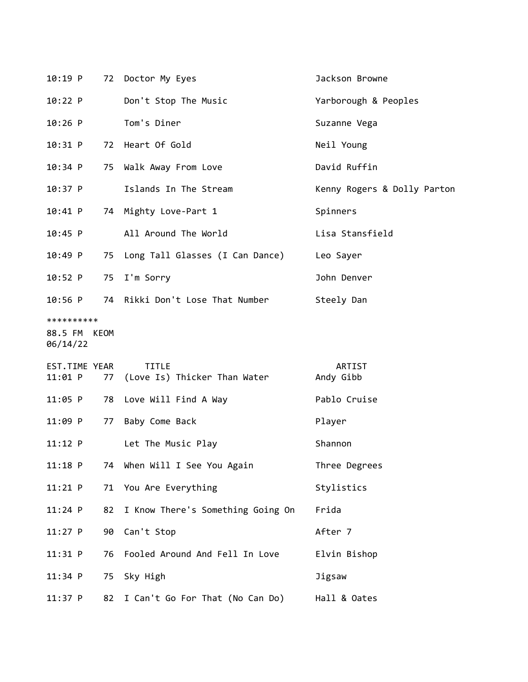| 10:19 P                           |      | 72 Doctor My Eyes                            | Jackson Browne              |  |
|-----------------------------------|------|----------------------------------------------|-----------------------------|--|
| 10:22 P                           |      | Don't Stop The Music                         | Yarborough & Peoples        |  |
| $10:26$ P                         |      | Tom's Diner                                  | Suzanne Vega                |  |
| $10:31$ P                         |      | 72 Heart Of Gold                             | Neil Young                  |  |
| $10:34$ P                         | 75   | Walk Away From Love                          | David Ruffin                |  |
| 10:37 P                           |      | Islands In The Stream                        | Kenny Rogers & Dolly Parton |  |
| $10:41$ P                         |      | 74 Mighty Love-Part 1                        | Spinners                    |  |
| 10:45 P                           |      | All Around The World                         | Lisa Stansfield             |  |
| $10:49$ P                         | 75   | Long Tall Glasses (I Can Dance) Leo Sayer    |                             |  |
| $10:52$ P                         | 75   | I'm Sorry                                    | John Denver                 |  |
| 10:56 P                           |      | 74 Rikki Don't Lose That Number              | Steely Dan                  |  |
| **********<br>88.5 FM<br>06/14/22 | KEOM |                                              |                             |  |
| EST.TIME YEAR<br>11:01 P          | 77   | <b>TITLE</b><br>(Love Is) Thicker Than Water | ARTIST<br>Andy Gibb         |  |
| 11:05 P                           | 78   | Love Will Find A Way                         | Pablo Cruise                |  |
| 11:09 P                           | 77   | Baby Come Back                               | Player                      |  |
| $11:12$ P                         |      | Let The Music Play                           | Shannon                     |  |
| $11:18$ P                         |      | 74 When Will I See You Again                 | Three Degrees               |  |
| $11:21$ P                         | 71   | You Are Everything                           | Stylistics                  |  |
| $11:24$ P                         | 82   | I Know There's Something Going On            | Frida                       |  |
| $11:27$ P                         | 90   | Can't Stop                                   | After 7                     |  |
| 11:31 P                           | 76   | Fooled Around And Fell In Love               | Elvin Bishop                |  |
| $11:34$ P                         | 75   | Sky High                                     | Jigsaw                      |  |
| 11:37 P                           |      | 82 I Can't Go For That (No Can Do)           | Hall & Oates                |  |